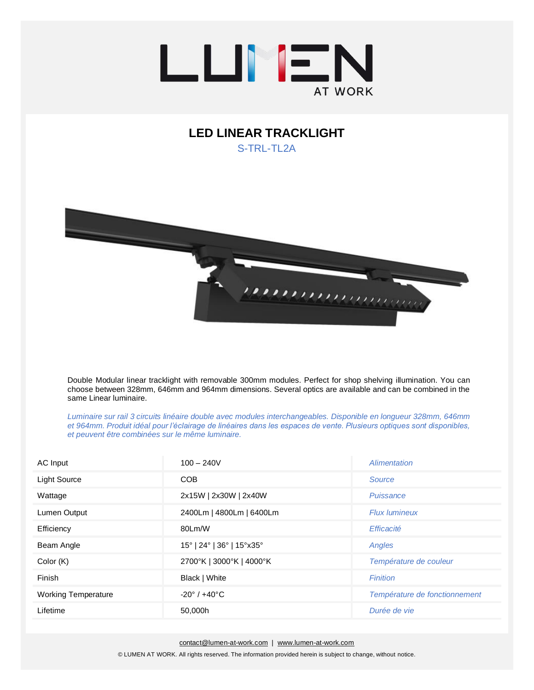

## **LED LINEAR TRACKLIGHT**  S-TRI-TI<sub>2</sub>A



Double Modular linear tracklight with removable 300mm modules. Perfect for shop shelving illumination. You can choose between 328mm, 646mm and 964mm dimensions. Several optics are available and can be combined in the same Linear luminaire.

*Luminaire sur rail 3 circuits linéaire double avec modules interchangeables. Disponible en longueur 328mm, 646mm et 964mm. Produit idéal pour l'éclairage de linéaires dans les espaces de vente. Plusieurs optiques sont disponibles, et peuvent être combinées sur le même luminaire.*

| AC Input                   | $100 - 240V$                    | Alimentation                  |  |
|----------------------------|---------------------------------|-------------------------------|--|
| <b>Light Source</b>        | CO <sub>B</sub><br>Source       |                               |  |
| Wattage                    | 2x15W   2x30W   2x40W           | Puissance                     |  |
| Lumen Output               | 2400Lm   4800Lm   6400Lm        | <b>Flux lumineux</b>          |  |
| Efficiency                 | 80Lm/W                          | Efficacité                    |  |
| Beam Angle                 | 15°   24°   36°   15° x 35°     | Angles                        |  |
| Color (K)                  | 2700°K   3000°K   4000°K        | Température de couleur        |  |
| Finish                     | Black   White                   | <b>Finition</b>               |  |
| <b>Working Temperature</b> | $-20^{\circ}$ / $+40^{\circ}$ C | Température de fonctionnement |  |
| Lifetime                   | 50,000h                         | Durée de vie                  |  |

[contact@lumen-at-work.com](mailto:contact@lumen-at-work.com) | [www.lumen-at-work.com](http://www.lumen-at-work.com/)

© LUMEN AT WORK. All rights reserved. The information provided herein is subject to change, without notice.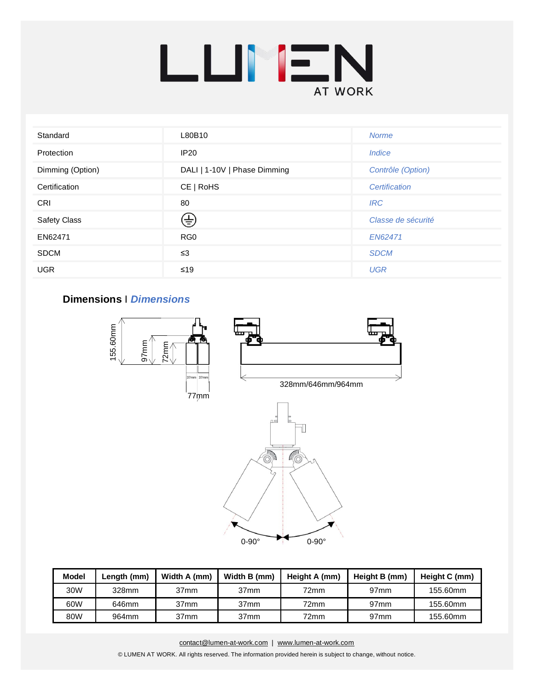

| Standard         | L80B10<br><b>Norme</b>       |                             |  |
|------------------|------------------------------|-----------------------------|--|
| Protection       | <b>IP20</b>                  | <i><u><b>Indice</b></u></i> |  |
| Dimming (Option) | DALI   1-10V   Phase Dimming | Contrôle (Option)           |  |
| Certification    | CE   ROHS<br>Certification   |                             |  |
| <b>CRI</b>       | 80                           | <b>IRC</b>                  |  |
| Safety Class     | ⊕                            | Classe de sécurité          |  |
| EN62471          | RG <sub>0</sub>              | EN62471                     |  |
| <b>SDCM</b>      | $\leq$ 3                     | <b>SDCM</b>                 |  |
| <b>UGR</b>       | $≤19$                        | <b>UGR</b>                  |  |

## **Dimensions** I *Dimensions*



| <b>Model</b> | Length (mm) | Width A (mm)     | Width B (mm)     | Height A (mm) | Height B (mm)    | Height C (mm) |
|--------------|-------------|------------------|------------------|---------------|------------------|---------------|
| 30W          | 328mm       | 37 <sub>mm</sub> | 37mm             | 72mm          | 97 <sub>mm</sub> | 155.60mm      |
| 60W          | 646mm       | 37 <sub>mm</sub> | 37mm             | 72mm          | 97 <sub>mm</sub> | 155.60mm      |
| 80W          | 964mm       | 37mm             | 37 <sub>mm</sub> | 72mm          | 97 <sub>mm</sub> | 155.60mm      |

[contact@lumen-at-work.com](mailto:contact@lumen-at-work.com) | [www.lumen-at-work.com](http://www.lumen-at-work.com/) © LUMEN AT WORK. All rights reserved. The information provided herein is subject to change, without notice.